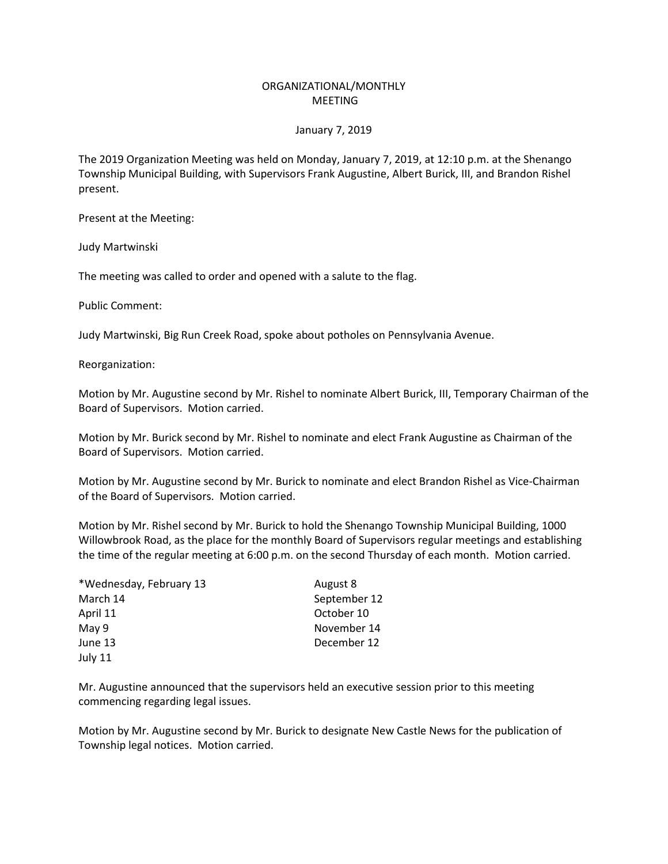## ORGANIZATIONAL/MONTHLY MEETING

## January 7, 2019

The 2019 Organization Meeting was held on Monday, January 7, 2019, at 12:10 p.m. at the Shenango Township Municipal Building, with Supervisors Frank Augustine, Albert Burick, III, and Brandon Rishel present.

Present at the Meeting:

Judy Martwinski

The meeting was called to order and opened with a salute to the flag.

Public Comment:

Judy Martwinski, Big Run Creek Road, spoke about potholes on Pennsylvania Avenue.

Reorganization:

Motion by Mr. Augustine second by Mr. Rishel to nominate Albert Burick, III, Temporary Chairman of the Board of Supervisors. Motion carried.

Motion by Mr. Burick second by Mr. Rishel to nominate and elect Frank Augustine as Chairman of the Board of Supervisors. Motion carried.

Motion by Mr. Augustine second by Mr. Burick to nominate and elect Brandon Rishel as Vice-Chairman of the Board of Supervisors. Motion carried.

Motion by Mr. Rishel second by Mr. Burick to hold the Shenango Township Municipal Building, 1000 Willowbrook Road, as the place for the monthly Board of Supervisors regular meetings and establishing the time of the regular meeting at 6:00 p.m. on the second Thursday of each month. Motion carried.

| *Wednesday, February 13 | August 8     |
|-------------------------|--------------|
| March 14                | September 12 |
| April 11                | October 10   |
| May 9                   | November 14  |
| June 13                 | December 12  |
| July 11                 |              |

Mr. Augustine announced that the supervisors held an executive session prior to this meeting commencing regarding legal issues.

Motion by Mr. Augustine second by Mr. Burick to designate New Castle News for the publication of Township legal notices. Motion carried.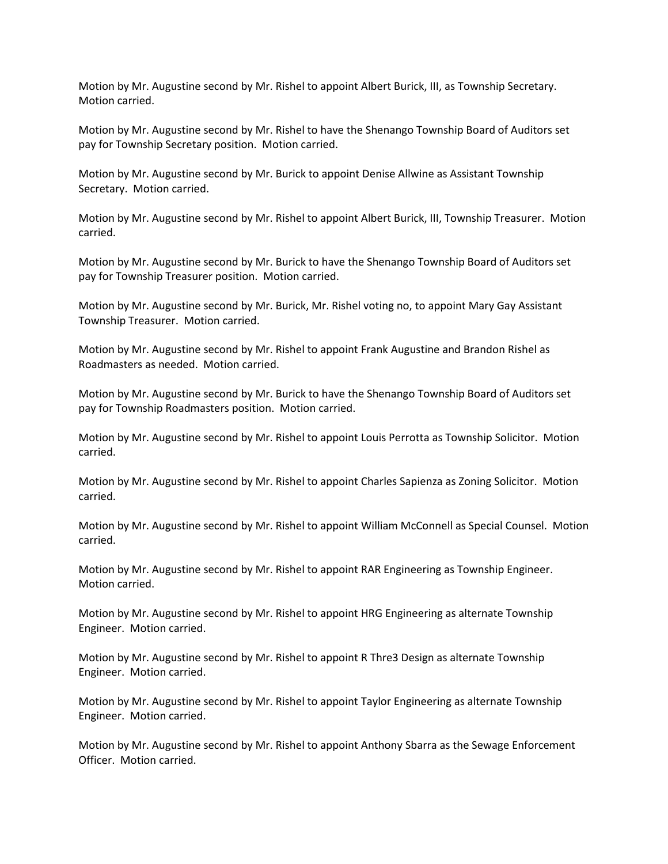Motion by Mr. Augustine second by Mr. Rishel to appoint Albert Burick, III, as Township Secretary. Motion carried.

Motion by Mr. Augustine second by Mr. Rishel to have the Shenango Township Board of Auditors set pay for Township Secretary position. Motion carried.

Motion by Mr. Augustine second by Mr. Burick to appoint Denise Allwine as Assistant Township Secretary. Motion carried.

Motion by Mr. Augustine second by Mr. Rishel to appoint Albert Burick, III, Township Treasurer. Motion carried.

Motion by Mr. Augustine second by Mr. Burick to have the Shenango Township Board of Auditors set pay for Township Treasurer position. Motion carried.

Motion by Mr. Augustine second by Mr. Burick, Mr. Rishel voting no, to appoint Mary Gay Assistant Township Treasurer. Motion carried.

Motion by Mr. Augustine second by Mr. Rishel to appoint Frank Augustine and Brandon Rishel as Roadmasters as needed. Motion carried.

Motion by Mr. Augustine second by Mr. Burick to have the Shenango Township Board of Auditors set pay for Township Roadmasters position. Motion carried.

Motion by Mr. Augustine second by Mr. Rishel to appoint Louis Perrotta as Township Solicitor. Motion carried.

Motion by Mr. Augustine second by Mr. Rishel to appoint Charles Sapienza as Zoning Solicitor. Motion carried.

Motion by Mr. Augustine second by Mr. Rishel to appoint William McConnell as Special Counsel. Motion carried.

Motion by Mr. Augustine second by Mr. Rishel to appoint RAR Engineering as Township Engineer. Motion carried.

Motion by Mr. Augustine second by Mr. Rishel to appoint HRG Engineering as alternate Township Engineer. Motion carried.

Motion by Mr. Augustine second by Mr. Rishel to appoint R Thre3 Design as alternate Township Engineer. Motion carried.

Motion by Mr. Augustine second by Mr. Rishel to appoint Taylor Engineering as alternate Township Engineer. Motion carried.

Motion by Mr. Augustine second by Mr. Rishel to appoint Anthony Sbarra as the Sewage Enforcement Officer. Motion carried.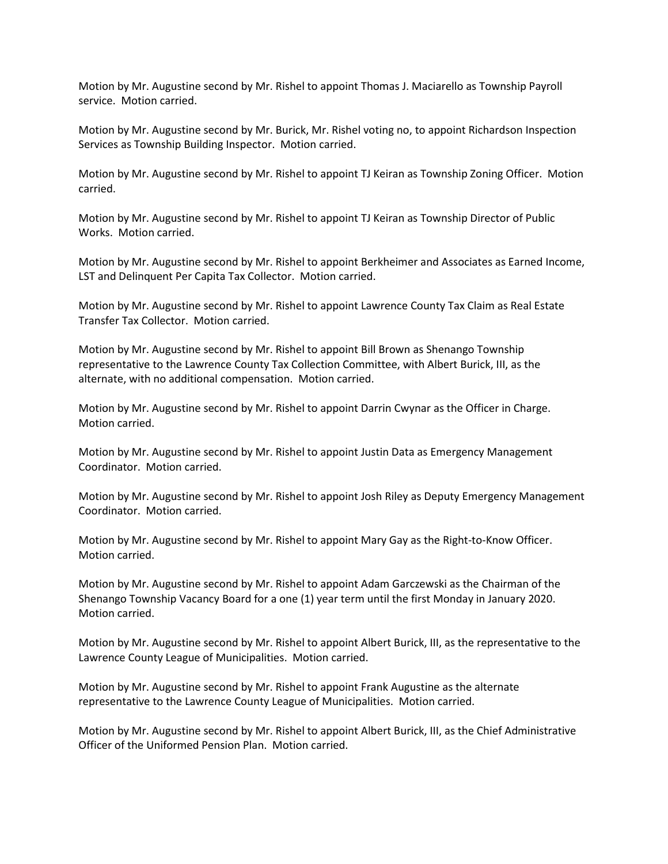Motion by Mr. Augustine second by Mr. Rishel to appoint Thomas J. Maciarello as Township Payroll service. Motion carried.

Motion by Mr. Augustine second by Mr. Burick, Mr. Rishel voting no, to appoint Richardson Inspection Services as Township Building Inspector. Motion carried.

Motion by Mr. Augustine second by Mr. Rishel to appoint TJ Keiran as Township Zoning Officer. Motion carried.

Motion by Mr. Augustine second by Mr. Rishel to appoint TJ Keiran as Township Director of Public Works. Motion carried.

Motion by Mr. Augustine second by Mr. Rishel to appoint Berkheimer and Associates as Earned Income, LST and Delinquent Per Capita Tax Collector. Motion carried.

Motion by Mr. Augustine second by Mr. Rishel to appoint Lawrence County Tax Claim as Real Estate Transfer Tax Collector. Motion carried.

Motion by Mr. Augustine second by Mr. Rishel to appoint Bill Brown as Shenango Township representative to the Lawrence County Tax Collection Committee, with Albert Burick, III, as the alternate, with no additional compensation. Motion carried.

Motion by Mr. Augustine second by Mr. Rishel to appoint Darrin Cwynar as the Officer in Charge. Motion carried.

Motion by Mr. Augustine second by Mr. Rishel to appoint Justin Data as Emergency Management Coordinator. Motion carried.

Motion by Mr. Augustine second by Mr. Rishel to appoint Josh Riley as Deputy Emergency Management Coordinator. Motion carried.

Motion by Mr. Augustine second by Mr. Rishel to appoint Mary Gay as the Right-to-Know Officer. Motion carried.

Motion by Mr. Augustine second by Mr. Rishel to appoint Adam Garczewski as the Chairman of the Shenango Township Vacancy Board for a one (1) year term until the first Monday in January 2020. Motion carried.

Motion by Mr. Augustine second by Mr. Rishel to appoint Albert Burick, III, as the representative to the Lawrence County League of Municipalities. Motion carried.

Motion by Mr. Augustine second by Mr. Rishel to appoint Frank Augustine as the alternate representative to the Lawrence County League of Municipalities. Motion carried.

Motion by Mr. Augustine second by Mr. Rishel to appoint Albert Burick, III, as the Chief Administrative Officer of the Uniformed Pension Plan. Motion carried.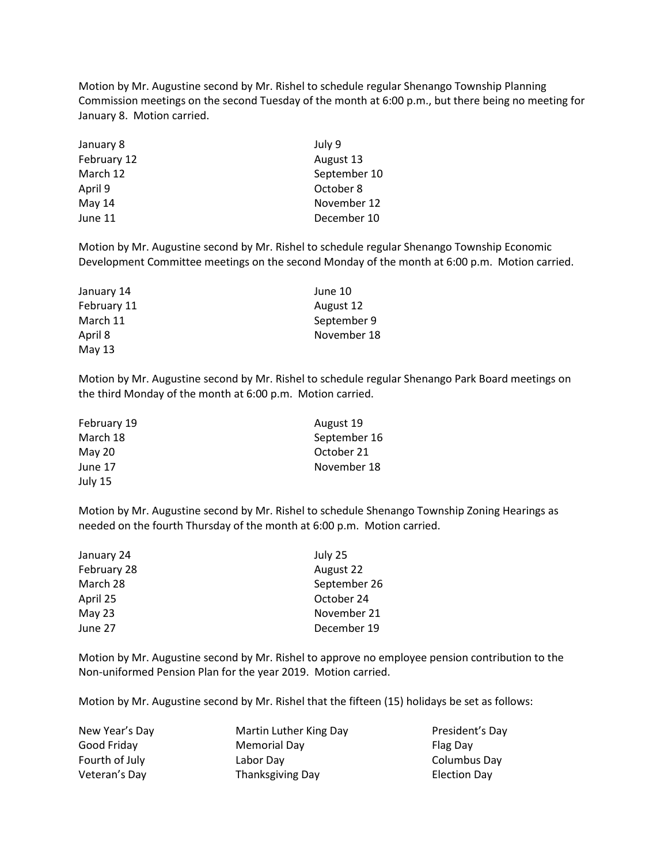Motion by Mr. Augustine second by Mr. Rishel to schedule regular Shenango Township Planning Commission meetings on the second Tuesday of the month at 6:00 p.m., but there being no meeting for January 8. Motion carried.

| January 8   | July 9       |
|-------------|--------------|
| February 12 | August 13    |
| March 12    | September 10 |
| April 9     | October 8    |
| May 14      | November 12  |
| June 11     | December 10  |

Motion by Mr. Augustine second by Mr. Rishel to schedule regular Shenango Township Economic Development Committee meetings on the second Monday of the month at 6:00 p.m. Motion carried.

| January 14  | June 10     |
|-------------|-------------|
| February 11 | August 12   |
| March 11    | September 9 |
| April 8     | November 18 |
| May 13      |             |

Motion by Mr. Augustine second by Mr. Rishel to schedule regular Shenango Park Board meetings on the third Monday of the month at 6:00 p.m. Motion carried.

| February 19 | August 19    |
|-------------|--------------|
| March 18    | September 16 |
| $M$ ay 20   | October 21   |
| June 17     | November 18  |
| July 15     |              |

Motion by Mr. Augustine second by Mr. Rishel to schedule Shenango Township Zoning Hearings as needed on the fourth Thursday of the month at 6:00 p.m. Motion carried.

| January 24  | July 25      |
|-------------|--------------|
| February 28 | August 22    |
| March 28    | September 26 |
| April 25    | October 24   |
| May 23      | November 21  |
| June 27     | December 19  |

Motion by Mr. Augustine second by Mr. Rishel to approve no employee pension contribution to the Non-uniformed Pension Plan for the year 2019. Motion carried.

Motion by Mr. Augustine second by Mr. Rishel that the fifteen (15) holidays be set as follows:

| New Year's Day | Martin Luther King Day | President's Day |
|----------------|------------------------|-----------------|
| Good Friday    | <b>Memorial Day</b>    | Flag Day        |
| Fourth of July | Labor Dav              | Columbus Day    |
| Veteran's Day  | Thanksgiving Day       | Election Day    |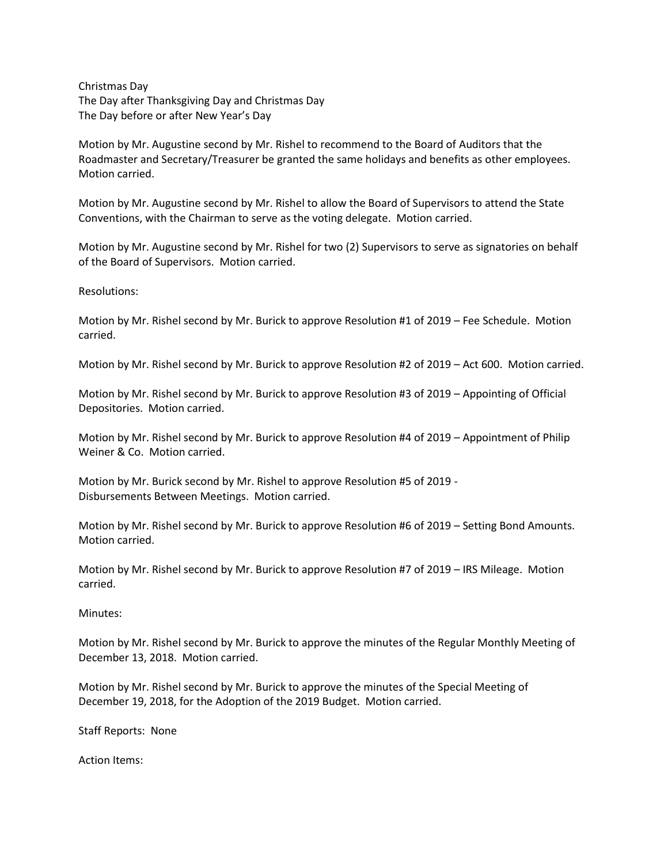Christmas Day The Day after Thanksgiving Day and Christmas Day The Day before or after New Year's Day

Motion by Mr. Augustine second by Mr. Rishel to recommend to the Board of Auditors that the Roadmaster and Secretary/Treasurer be granted the same holidays and benefits as other employees. Motion carried.

Motion by Mr. Augustine second by Mr. Rishel to allow the Board of Supervisors to attend the State Conventions, with the Chairman to serve as the voting delegate. Motion carried.

Motion by Mr. Augustine second by Mr. Rishel for two (2) Supervisors to serve as signatories on behalf of the Board of Supervisors. Motion carried.

Resolutions:

Motion by Mr. Rishel second by Mr. Burick to approve Resolution #1 of 2019 – Fee Schedule. Motion carried.

Motion by Mr. Rishel second by Mr. Burick to approve Resolution #2 of 2019 – Act 600. Motion carried.

Motion by Mr. Rishel second by Mr. Burick to approve Resolution #3 of 2019 – Appointing of Official Depositories. Motion carried.

Motion by Mr. Rishel second by Mr. Burick to approve Resolution #4 of 2019 – Appointment of Philip Weiner & Co. Motion carried.

Motion by Mr. Burick second by Mr. Rishel to approve Resolution #5 of 2019 - Disbursements Between Meetings. Motion carried.

Motion by Mr. Rishel second by Mr. Burick to approve Resolution #6 of 2019 – Setting Bond Amounts. Motion carried.

Motion by Mr. Rishel second by Mr. Burick to approve Resolution #7 of 2019 – IRS Mileage. Motion carried.

Minutes:

Motion by Mr. Rishel second by Mr. Burick to approve the minutes of the Regular Monthly Meeting of December 13, 2018. Motion carried.

Motion by Mr. Rishel second by Mr. Burick to approve the minutes of the Special Meeting of December 19, 2018, for the Adoption of the 2019 Budget. Motion carried.

Staff Reports: None

Action Items: